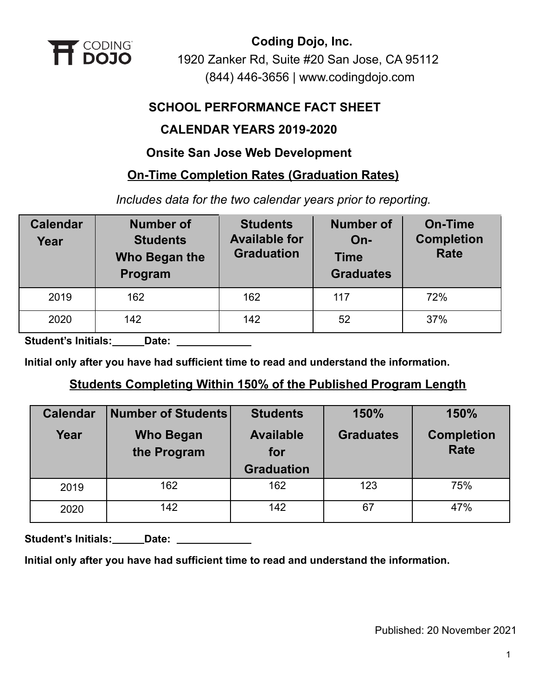

## **SCHOOL PERFORMANCE FACT SHEET**

## **CALENDAR YEARS 2019-2020**

## **Onsite San Jose Web Development**

## **On-Time Completion Rates (Graduation Rates)**

*Includes data for the two calendar years prior to reporting.*

| <b>Calendar</b><br>Year | <b>Number of</b><br><b>Students</b><br>Who Began the<br>Program | <b>Students</b><br><b>Available for</b><br><b>Graduation</b> | <b>Number of</b><br>$On-$<br><b>Time</b><br><b>Graduates</b> | <b>On-Time</b><br><b>Completion</b><br><b>Rate</b> |
|-------------------------|-----------------------------------------------------------------|--------------------------------------------------------------|--------------------------------------------------------------|----------------------------------------------------|
| 2019                    | 162                                                             | 162                                                          | 117                                                          | 72%                                                |
| 2020                    | 142                                                             | 142                                                          | 52                                                           | 37%                                                |

**Student's Initials: Date:**

**Initial only after you have had sufficient time to read and understand the information.**

## **Students Completing Within 150% of the Published Program Length**

| <b>Calendar</b> | <b>Number of Students</b> | <b>Students</b>                              | 150%             | 150%                             |
|-----------------|---------------------------|----------------------------------------------|------------------|----------------------------------|
| Year            | Who Began<br>the Program  | <b>Available</b><br>for<br><b>Graduation</b> | <b>Graduates</b> | <b>Completion</b><br><b>Rate</b> |
| 2019            | 162                       | 162                                          | 123              | 75%                              |
| 2020            | 142                       | 142                                          | 67               | 47%                              |

Student's Initials: **Date: Date: Limitals: Date: Limital** 

**Initial only after you have had sufficient time to read and understand the information.**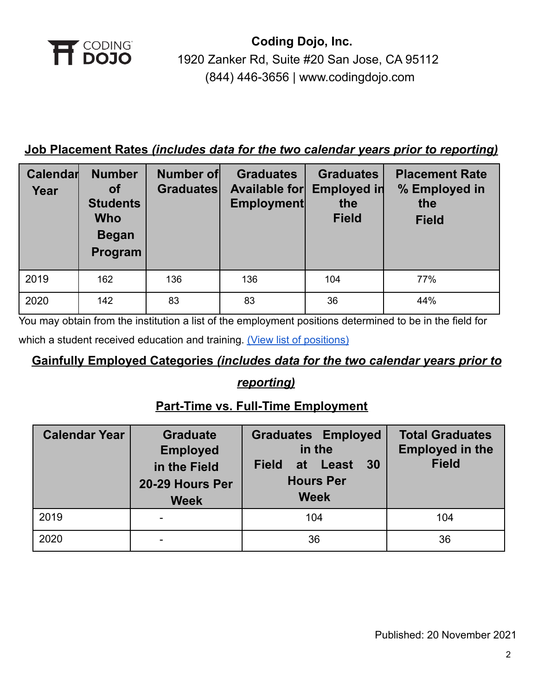

## **Job Placement Rates** *(includes data for the two calendar years prior to reporting)*

| Calendar<br>Year | <b>Number</b><br>Οf<br><b>Students</b><br><b>Who</b><br><b>Began</b><br>Program | Number of<br><b>Graduates</b> | <b>Graduates</b><br><b>Available for</b><br>Employment | <b>Graduates</b><br><b>Employed in</b><br>the<br><b>Field</b> | <b>Placement Rate</b><br>% Employed in<br>the<br><b>Field</b> |
|------------------|---------------------------------------------------------------------------------|-------------------------------|--------------------------------------------------------|---------------------------------------------------------------|---------------------------------------------------------------|
| 2019             | 162                                                                             | 136                           | 136                                                    | 104                                                           | 77%                                                           |
| 2020             | 142                                                                             | 83                            | 83                                                     | 36                                                            | 44%                                                           |

You may obtain from the institution a list of the employment positions determined to be in the field for

which a student received education and training. (View [list of positions\)](https://cdn2.codingdojo.com/files/alumni_positions.pdf)

## **Gainfully Employed Categories** *(includes data for the two calendar years prior to*

## *reporting)*

## **Part-Time vs. Full-Time Employment**

| <b>Calendar Year</b> | <b>Graduate</b><br><b>Employed</b><br>in the Field<br>20-29 Hours Per<br><b>Week</b> | <b>Graduates Employed</b><br>in the<br>30<br><b>Field</b><br>at Least<br><b>Hours Per</b><br><b>Week</b> | <b>Total Graduates</b><br><b>Employed in the</b><br><b>Field</b> |
|----------------------|--------------------------------------------------------------------------------------|----------------------------------------------------------------------------------------------------------|------------------------------------------------------------------|
| 2019                 |                                                                                      | 104                                                                                                      | 104                                                              |
| 2020                 |                                                                                      | 36                                                                                                       | 36                                                               |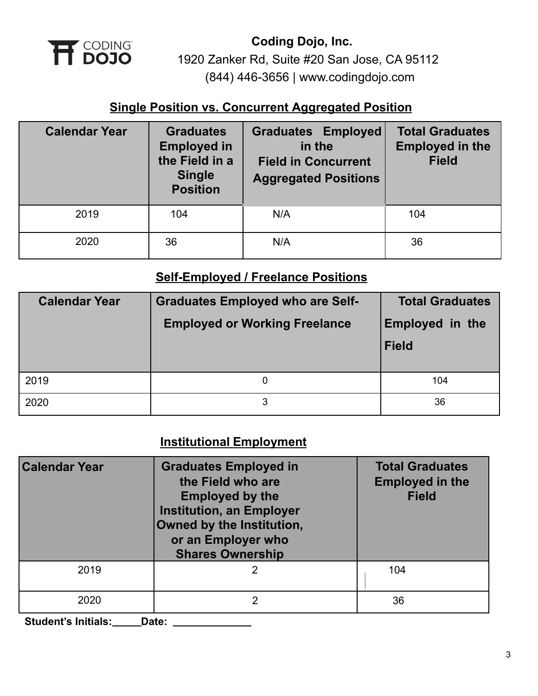

## **Single Position vs. Concurrent Aggregated Position**

| <b>Calendar Year</b> | <b>Graduates</b><br><b>Employed in</b><br>the Field in a<br><b>Single</b><br><b>Position</b> | <b>Graduates Employed</b><br>in the<br><b>Field in Concurrent</b><br><b>Aggregated Positions</b> | <b>Total Graduates</b><br><b>Employed in the</b><br><b>Field</b> |
|----------------------|----------------------------------------------------------------------------------------------|--------------------------------------------------------------------------------------------------|------------------------------------------------------------------|
| 2019                 | 104                                                                                          | N/A                                                                                              | 104                                                              |
| 2020                 | 36                                                                                           | N/A                                                                                              | 36                                                               |

## **Self-Employed / Freelance Positions**

| <b>Calendar Year</b> | <b>Graduates Employed who are Self-</b><br><b>Employed or Working Freelance</b> | <b>Total Graduates</b><br><b>Employed in the</b><br><b>Field</b> |
|----------------------|---------------------------------------------------------------------------------|------------------------------------------------------------------|
| 2019                 |                                                                                 | 104                                                              |
| 2020                 | 3                                                                               | 36                                                               |

# **Institutional Employment**

| <b>Calendar Year</b> | <b>Graduates Employed in</b><br>the Field who are<br><b>Employed by the</b><br><b>Institution, an Employer</b><br>Owned by the Institution,<br>or an Employer who<br><b>Shares Ownership</b> | <b>Total Graduates</b><br><b>Employed in the</b><br><b>Field</b> |
|----------------------|----------------------------------------------------------------------------------------------------------------------------------------------------------------------------------------------|------------------------------------------------------------------|
| 2019                 |                                                                                                                                                                                              | 104                                                              |
| 2020                 |                                                                                                                                                                                              | 36                                                               |

**Student's Initials: Date:**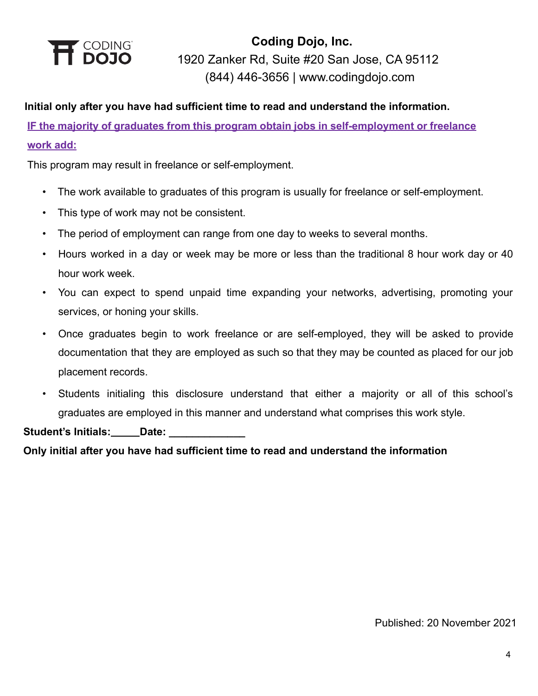

#### **Initial only after you have had sufficient time to read and understand the information.**

**IF the majority of graduates from this program obtain jobs in self-employment or freelance work add:**

This program may result in freelance or self-employment.

- The work available to graduates of this program is usually for freelance or self-employment.
- This type of work may not be consistent.
- The period of employment can range from one day to weeks to several months.
- Hours worked in a day or week may be more or less than the traditional 8 hour work day or 40 hour work week.
- You can expect to spend unpaid time expanding your networks, advertising, promoting your services, or honing your skills.
- Once graduates begin to work freelance or are self-employed, they will be asked to provide documentation that they are employed as such so that they may be counted as placed for our job placement records.
- Students initialing this disclosure understand that either a majority or all of this school's graduates are employed in this manner and understand what comprises this work style.

Student's Initials:\_\_\_\_\_\_Date:

**Only initial after you have had sufficient time to read and understand the information**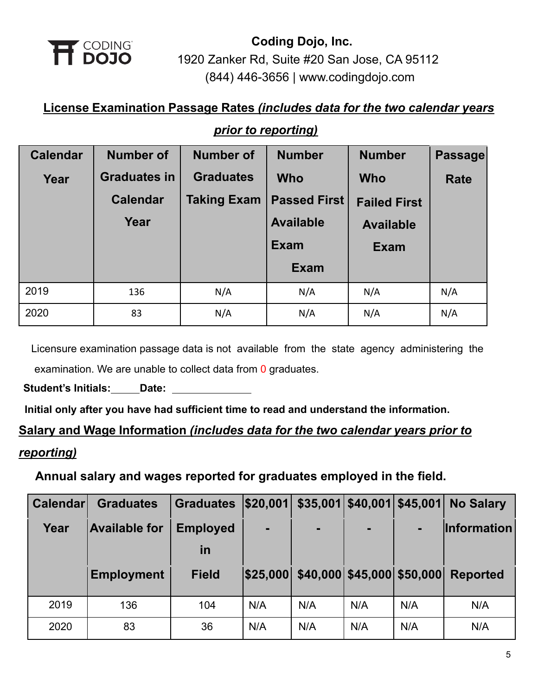

# **License Examination Passage Rates** *(includes data for the two calendar years*

## *prior to reporting)*

| <b>Calendar</b> | <b>Number of</b>    | <b>Number of</b>   | <b>Number</b>       | <b>Number</b>       | <b>Passage</b> |
|-----------------|---------------------|--------------------|---------------------|---------------------|----------------|
| Year            | <b>Graduates in</b> | <b>Graduates</b>   | <b>Who</b>          | <b>Who</b>          | <b>Rate</b>    |
|                 | <b>Calendar</b>     | <b>Taking Exam</b> | <b>Passed First</b> | <b>Failed First</b> |                |
|                 | Year                |                    | <b>Available</b>    | <b>Available</b>    |                |
|                 |                     |                    | <b>Exam</b>         | <b>Exam</b>         |                |
|                 |                     |                    | <b>Exam</b>         |                     |                |
| 2019            | 136                 | N/A                | N/A                 | N/A                 | N/A            |
| 2020            | 83                  | N/A                | N/A                 | N/A                 | N/A            |

Licensure examination passage data is not available from the state agency administering the examination. We are unable to collect data from 0 graduates.

**Student's Initials: Date:**

**Initial only after you have had sufficient time to read and understand the information.**

# **Salary and Wage Information** *(includes data for the two calendar years prior to reporting)*

## **Annual salary and wages reported for graduates employed in the field.**

| <b>Calendar</b> | <b>Graduates</b>     | <b>Graduates</b> | \$20,001 |                                     | $$35,001$ $$40,001$ $$45,001$ |     | <b>No Salary</b>   |
|-----------------|----------------------|------------------|----------|-------------------------------------|-------------------------------|-----|--------------------|
| Year            | <b>Available for</b> | <b>Employed</b>  | ٠        | ٠                                   | $\blacksquare$                |     | <b>Information</b> |
|                 |                      | in               |          |                                     |                               |     |                    |
|                 | <b>Employment</b>    | <b>Field</b>     |          | \$25,000 \$40,000 \$45,000 \$50,000 |                               |     | <b>Reported</b>    |
|                 |                      | 104              | N/A      | N/A                                 | N/A                           | N/A | N/A                |
| 2019            | 136                  |                  |          |                                     |                               |     |                    |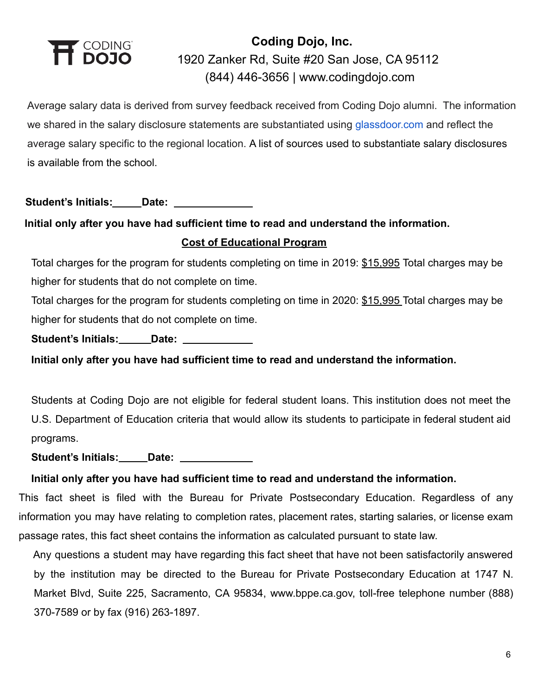

Average salary data is derived from survey feedback received from Coding Dojo alumni. The information we shared in the salary disclosure statements are substantiated using [glassdoor.com](http://glassdoor.com/) and reflect the average salary specific to the regional location. A list of sources used to substantiate salary disclosures is available from the school.

**Student's Initials: Date:**

## **Initial only after you have had sufficient time to read and understand the information. Cost of Educational Program**

Total charges for the program for students completing on time in 2019: \$15,995 Total charges may be higher for students that do not complete on time.

Total charges for the program for students completing on time in 2020: \$15,995 Total charges may be higher for students that do not complete on time.

Student's Initials: **Date: Date: Date: Date: Date: Date: Date: Date: Date: Date: Date: Date: Date: Date: Date: Date: Date: Date: Date: Date: Date: Date: Date: Date: Date: D** 

**Initial only after you have had sufficient time to read and understand the information.**

Students at Coding Dojo are not eligible for federal student loans. This institution does not meet the U.S. Department of Education criteria that would allow its students to participate in federal student aid programs.

**Student's Initials: Date:**

### **Initial only after you have had sufficient time to read and understand the information.**

This fact sheet is filed with the Bureau for Private Postsecondary Education. Regardless of any information you may have relating to completion rates, placement rates, starting salaries, or license exam passage rates, this fact sheet contains the information as calculated pursuant to state law.

Any questions a student may have regarding this fact sheet that have not been satisfactorily answered by the institution may be directed to the Bureau for Private Postsecondary Education at 1747 N. Market Blvd, Suite 225, Sacramento, CA 95834, www.bppe.ca.gov, toll-free telephone number (888) 370-7589 or by fax (916) 263-1897.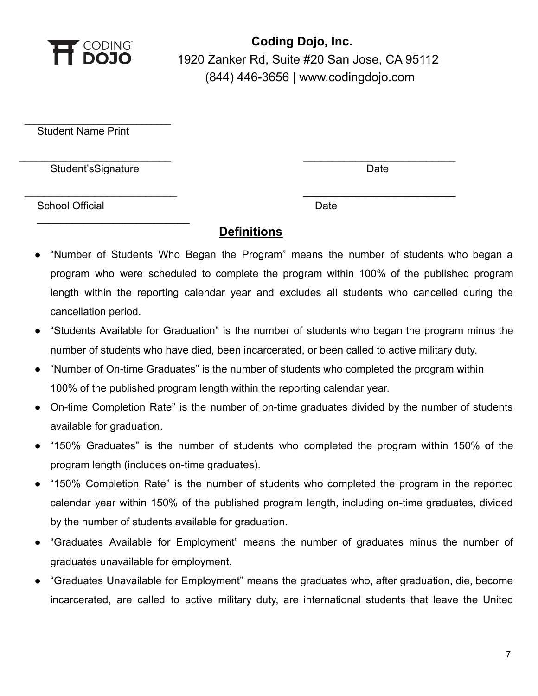

Student Name Print

Student'sSignature Date Date Controller and Date Date Date

 $\_$ 

 $\overline{\phantom{a}}$  , where  $\overline{\phantom{a}}$  , where  $\overline{\phantom{a}}$  , where  $\overline{\phantom{a}}$  , where  $\overline{\phantom{a}}$ 

School Official Date Date Date Date

## **Definitions**

\_\_\_\_\_\_\_\_\_\_\_\_\_\_\_\_\_\_\_\_\_\_\_\_\_\_ \_\_\_\_\_\_\_\_\_\_\_\_\_\_\_\_\_\_\_\_\_\_\_\_\_\_

\_\_\_\_\_\_\_\_\_\_\_\_\_\_\_\_\_\_\_\_\_\_\_\_ \_\_\_\_\_\_\_\_\_\_\_\_\_\_\_\_\_\_\_\_\_\_\_\_\_\_

- "Number of Students Who Began the Program" means the number of students who began a program who were scheduled to complete the program within 100% of the published program length within the reporting calendar year and excludes all students who cancelled during the cancellation period.
- "Students Available for Graduation" is the number of students who began the program minus the number of students who have died, been incarcerated, or been called to active military duty.
- "Number of On-time Graduates" is the number of students who completed the program within 100% of the published program length within the reporting calendar year.
- On-time Completion Rate" is the number of on-time graduates divided by the number of students available for graduation.
- "150% Graduates" is the number of students who completed the program within 150% of the program length (includes on-time graduates).
- "150% Completion Rate" is the number of students who completed the program in the reported calendar year within 150% of the published program length, including on-time graduates, divided by the number of students available for graduation.
- "Graduates Available for Employment" means the number of graduates minus the number of graduates unavailable for employment.
- "Graduates Unavailable for Employment" means the graduates who, after graduation, die, become incarcerated, are called to active military duty, are international students that leave the United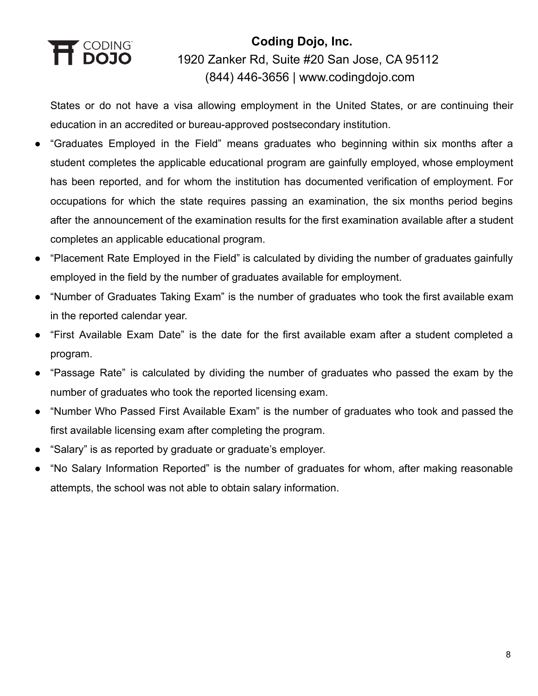# T CODING<br>**1 DOJO**

# **Coding Dojo, Inc.** 1920 Zanker Rd, Suite #20 San Jose, CA 95112 (844) 446-3656 | [www.codingdojo.com](http://www.codingdojo.com)

States or do not have a visa allowing employment in the United States, or are continuing their education in an accredited or bureau-approved postsecondary institution.

- "Graduates Employed in the Field" means graduates who beginning within six months after a student completes the applicable educational program are gainfully employed, whose employment has been reported, and for whom the institution has documented verification of employment. For occupations for which the state requires passing an examination, the six months period begins after the announcement of the examination results for the first examination available after a student completes an applicable educational program.
- "Placement Rate Employed in the Field" is calculated by dividing the number of graduates gainfully employed in the field by the number of graduates available for employment.
- "Number of Graduates Taking Exam" is the number of graduates who took the first available exam in the reported calendar year.
- "First Available Exam Date" is the date for the first available exam after a student completed a program.
- "Passage Rate" is calculated by dividing the number of graduates who passed the exam by the number of graduates who took the reported licensing exam.
- "Number Who Passed First Available Exam" is the number of graduates who took and passed the first available licensing exam after completing the program.
- "Salary" is as reported by graduate or graduate's employer.
- "No Salary Information Reported" is the number of graduates for whom, after making reasonable attempts, the school was not able to obtain salary information.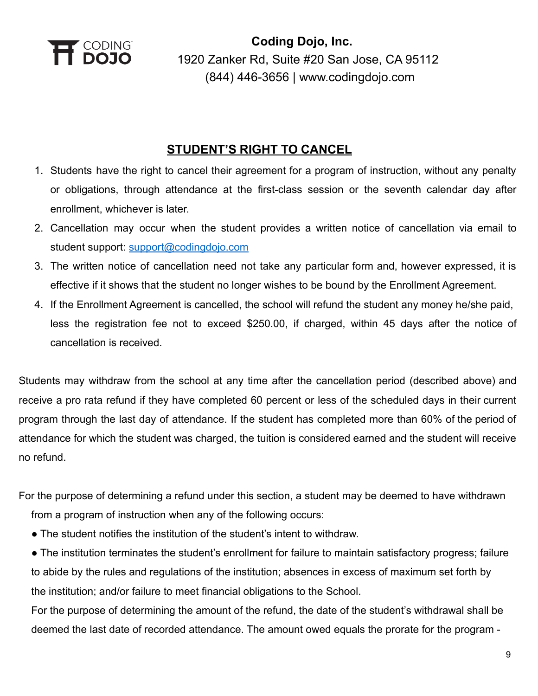

## **STUDENT'S RIGHT TO CANCEL**

- 1. Students have the right to cancel their agreement for a program of instruction, without any penalty or obligations, through attendance at the first-class session or the seventh calendar day after enrollment, whichever is later.
- 2. Cancellation may occur when the student provides a written notice of cancellation via email to student support: [support@codingdojo.com](mailto:support@codingdojo.com)
- 3. The written notice of cancellation need not take any particular form and, however expressed, it is effective if it shows that the student no longer wishes to be bound by the Enrollment Agreement.
- 4. If the Enrollment Agreement is cancelled, the school will refund the student any money he/she paid, less the registration fee not to exceed \$250.00, if charged, within 45 days after the notice of cancellation is received.

Students may withdraw from the school at any time after the cancellation period (described above) and receive a pro rata refund if they have completed 60 percent or less of the scheduled days in their current program through the last day of attendance. If the student has completed more than 60% of the period of attendance for which the student was charged, the tuition is considered earned and the student will receive no refund.

For the purpose of determining a refund under this section, a student may be deemed to have withdrawn from a program of instruction when any of the following occurs:

- The student notifies the institution of the student's intent to withdraw.
- The institution terminates the student's enrollment for failure to maintain satisfactory progress; failure to abide by the rules and regulations of the institution; absences in excess of maximum set forth by the institution; and/or failure to meet financial obligations to the School.

For the purpose of determining the amount of the refund, the date of the student's withdrawal shall be deemed the last date of recorded attendance. The amount owed equals the prorate for the program -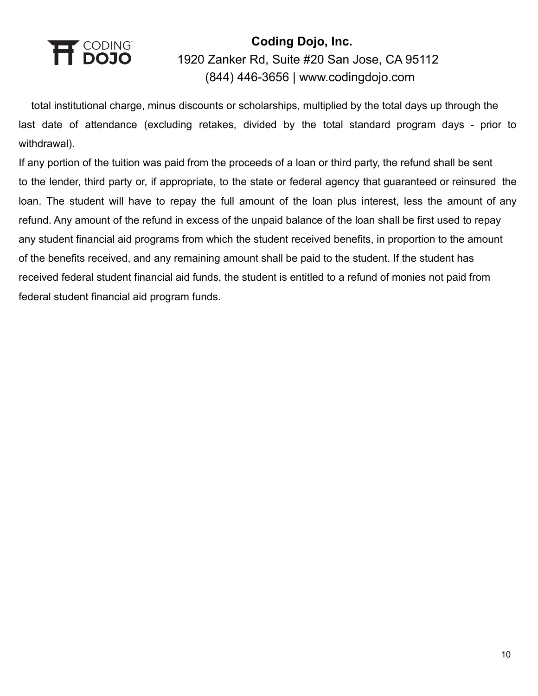

total institutional charge, minus discounts or scholarships, multiplied by the total days up through the last date of attendance (excluding retakes, divided by the total standard program days - prior to withdrawal).

If any portion of the tuition was paid from the proceeds of a loan or third party, the refund shall be sent to the lender, third party or, if appropriate, to the state or federal agency that guaranteed or reinsured the loan. The student will have to repay the full amount of the loan plus interest, less the amount of any refund. Any amount of the refund in excess of the unpaid balance of the loan shall be first used to repay any student financial aid programs from which the student received benefits, in proportion to the amount of the benefits received, and any remaining amount shall be paid to the student. If the student has received federal student financial aid funds, the student is entitled to a refund of monies not paid from federal student financial aid program funds.